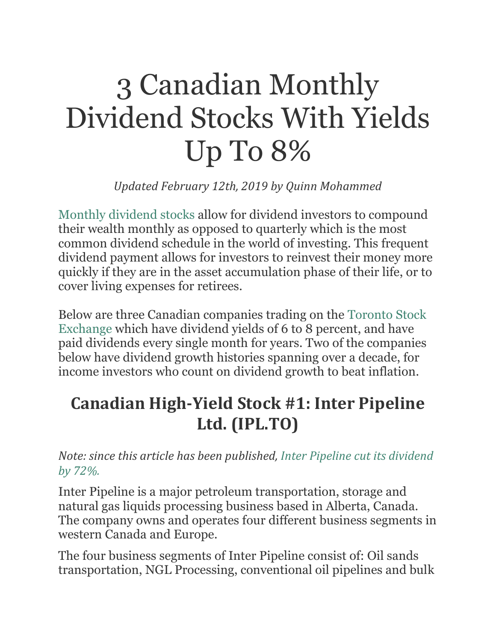# 3 Canadian Monthly Dividend Stocks With Yields Up To 8%

*Updated February 12th, 2019 by Quinn Mohammed*

Monthly [dividend](https://www.suredividend.com/monthly-dividend-stocks/) stocks allow for dividend investors to compound their wealth monthly as opposed to quarterly which is the most common dividend schedule in the world of investing. This frequent dividend payment allows for investors to reinvest their money more quickly if they are in the asset accumulation phase of their life, or to cover living expenses for retirees.

Below are three Canadian companies trading on the [Toronto](https://www.suredividend.com/tsx-60-stocks-list/) Stock [Exchange](https://www.suredividend.com/tsx-60-stocks-list/) which have dividend yields of 6 to 8 percent, and have paid dividends every single month for years. Two of the companies below have dividend growth histories spanning over a decade, for income investors who count on dividend growth to beat inflation.

### **Canadian High-Yield Stock #1: Inter Pipeline Ltd. (IPL.TO)**

*Note: since this article has been published, Inter Pipeline cut its [dividend](https://www.bnnbloomberg.ca/inter-pipeline-slashes-dividend-72-as-virus-oil-price-war-hit-1.1414539) by [72%.](https://www.bnnbloomberg.ca/inter-pipeline-slashes-dividend-72-as-virus-oil-price-war-hit-1.1414539)*

Inter Pipeline is a major petroleum transportation, storage and natural gas liquids processing business based in Alberta, Canada. The company owns and operates four different business segments in western Canada and Europe.

The four business segments of Inter Pipeline consist of: Oil sands transportation, NGL Processing, conventional oil pipelines and bulk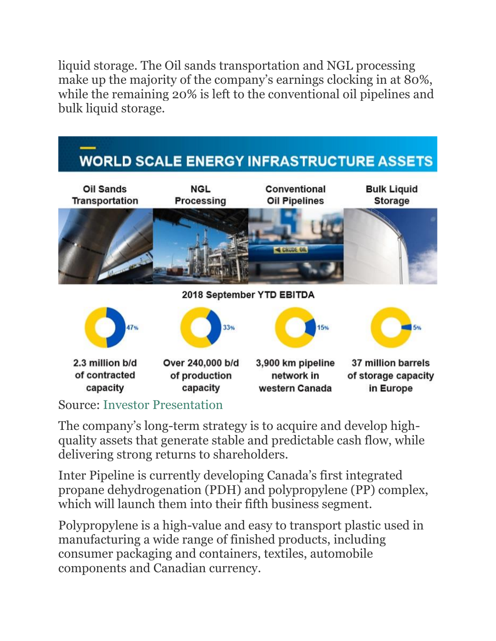liquid storage. The Oil sands transportation and NGL processing make up the majority of the company's earnings clocking in at 80%, while the remaining 20% is left to the conventional oil pipelines and bulk liquid storage.



Source: Investor [Presentation](http://www.interpipeline.com/files/pdf/investor-presentations/Corporate%20Presentation%20-%20February%202019.pdf)

The company's long-term strategy is to acquire and develop highquality assets that generate stable and predictable cash flow, while delivering strong returns to shareholders.

Inter Pipeline is currently developing Canada's first integrated propane dehydrogenation (PDH) and polypropylene (PP) complex, which will launch them into their fifth business segment.

Polypropylene is a high-value and easy to transport plastic used in manufacturing a wide range of finished products, including consumer packaging and containers, textiles, automobile components and Canadian currency.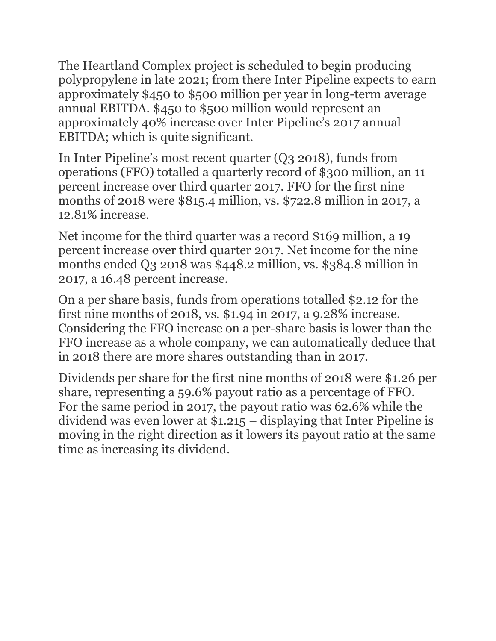The Heartland Complex project is scheduled to begin producing polypropylene in late 2021; from there Inter Pipeline expects to earn approximately \$450 to \$500 million per year in long-term average annual EBITDA. \$450 to \$500 million would represent an approximately 40% increase over Inter Pipeline's 2017 annual EBITDA; which is quite significant.

In Inter Pipeline's most recent quarter (Q3 2018), funds from operations (FFO) totalled a quarterly record of \$300 million, an 11 percent increase over third quarter 2017. FFO for the first nine months of 2018 were \$815.4 million, vs. \$722.8 million in 2017, a 12.81% increase.

Net income for the third quarter was a record \$169 million, a 19 percent increase over third quarter 2017. Net income for the nine months ended Q3 2018 was \$448.2 million, vs. \$384.8 million in 2017, a 16.48 percent increase.

On a per share basis, funds from operations totalled \$2.12 for the first nine months of 2018, vs. \$1.94 in 2017, a 9.28% increase. Considering the FFO increase on a per-share basis is lower than the FFO increase as a whole company, we can automatically deduce that in 2018 there are more shares outstanding than in 2017.

Dividends per share for the first nine months of 2018 were \$1.26 per share, representing a 59.6% payout ratio as a percentage of FFO. For the same period in 2017, the payout ratio was 62.6% while the dividend was even lower at \$1.215 – displaying that Inter Pipeline is moving in the right direction as it lowers its payout ratio at the same time as increasing its dividend.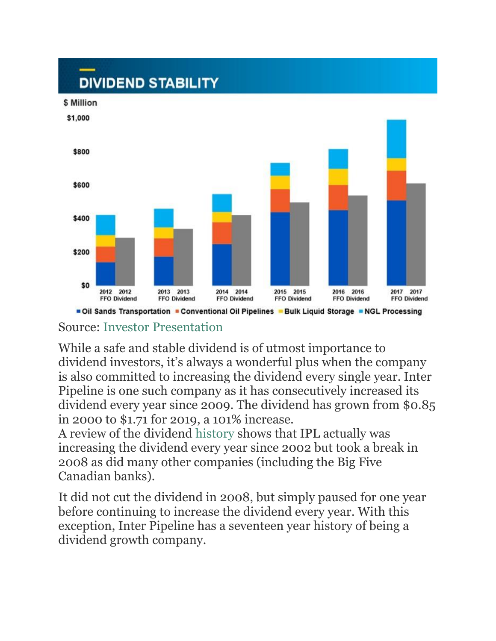

Oil Sands Transportation Conventional Oil Pipelines CBulk Liquid Storage CNGL Processing

#### Source: Investor [Presentation](http://www.interpipeline.com/files/pdf/investor-presentations/Corporate%20Presentation%20-%20February%202019.pdf)

While a safe and stable dividend is of utmost importance to dividend investors, it's always a wonderful plus when the company is also committed to increasing the dividend every single year. Inter Pipeline is one such company as it has consecutively increased its dividend every year since 2009. The dividend has grown from \$0.85 in 2000 to \$1.71 for 2019, a 101% increase.

A review of the dividend [history](http://www.interpipeline.com/files/pdf/distributions/Inter%20Pipeline%20Historical%20Distributions_Dividends-1997-2016.pdf) shows that IPL actually was increasing the dividend every year since 2002 but took a break in 2008 as did many other companies (including the Big Five Canadian banks).

It did not cut the dividend in 2008, but simply paused for one year before continuing to increase the dividend every year. With this exception, Inter Pipeline has a seventeen year history of being a dividend growth company.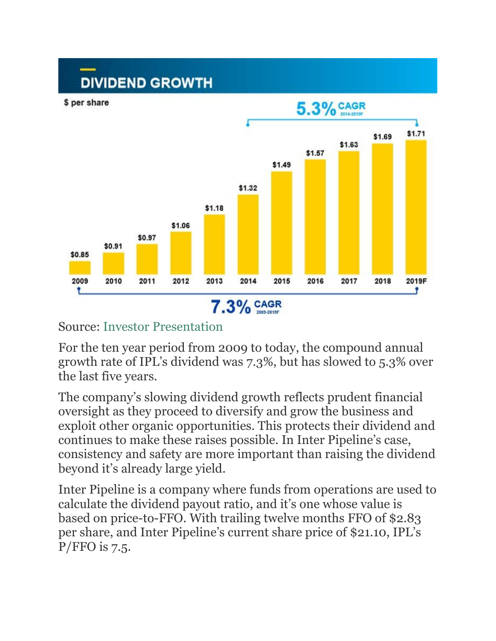

### Source: Investor [Presentation](http://www.interpipeline.com/files/pdf/investor-presentations/Corporate%20Presentation%20-%20February%202019.pdf)

For the ten year period from 2009 to today, the compound annual growth rate of IPL's dividend was 7.3%, but has slowed to 5.3% over the last five years.

The company's slowing dividend growth reflects prudent financial oversight as they proceed to diversify and grow the business and exploit other organic opportunities. This protects their dividend and continues to make these raises possible. In Inter Pipeline's case, consistency and safety are more important than raising the dividend beyond it's already large yield.

Inter Pipeline is a company where funds from operations are used to calculate the dividend payout ratio, and it's one whose value is based on price-to-FFO. With trailing twelve months FFO of \$2.83 per share, and Inter Pipeline's current share price of \$21.10, IPL's  $P/FFO$  is 7.5.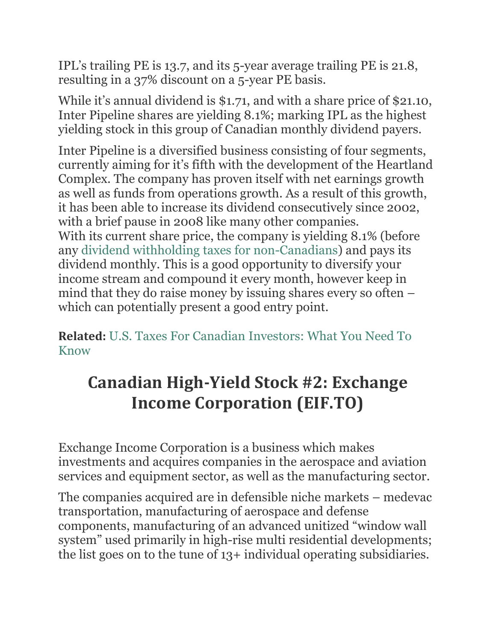IPL's trailing PE is 13.7, and its 5-year average trailing PE is 21.8, resulting in a 37% discount on a 5-year PE basis.

While it's annual dividend is \$1.71, and with a share price of \$21.10, Inter Pipeline shares are yielding 8.1%; marking IPL as the highest yielding stock in this group of Canadian monthly dividend payers.

Inter Pipeline is a diversified business consisting of four segments, currently aiming for it's fifth with the development of the Heartland Complex. The company has proven itself with net earnings growth as well as funds from operations growth. As a result of this growth, it has been able to increase its dividend consecutively since 2002, with a brief pause in 2008 like many other companies.

With its current share price, the company is yielding 8.1% (before any dividend withholding taxes for [non-Canadians\)](https://www.suredividend.com/canadian-taxes-us-investors/) and pays its dividend monthly. This is a good opportunity to diversify your income stream and compound it every month, however keep in mind that they do raise money by issuing shares every so often – which can potentially present a good entry point.

**Related:** U.S. Taxes For Canadian [Investors:](https://www.suredividend.com/usa-tax-canadian-investors) What You Need To [Know](https://www.suredividend.com/usa-tax-canadian-investors)

### **Canadian High-Yield Stock #2: Exchange Income Corporation (EIF.TO)**

Exchange Income Corporation is a business which makes investments and acquires companies in the aerospace and aviation services and equipment sector, as well as the manufacturing sector.

The companies acquired are in defensible niche markets – medevac transportation, manufacturing of aerospace and defense components, manufacturing of an advanced unitized "window wall system" used primarily in high-rise multi residential developments; the list goes on to the tune of 13+ individual operating subsidiaries.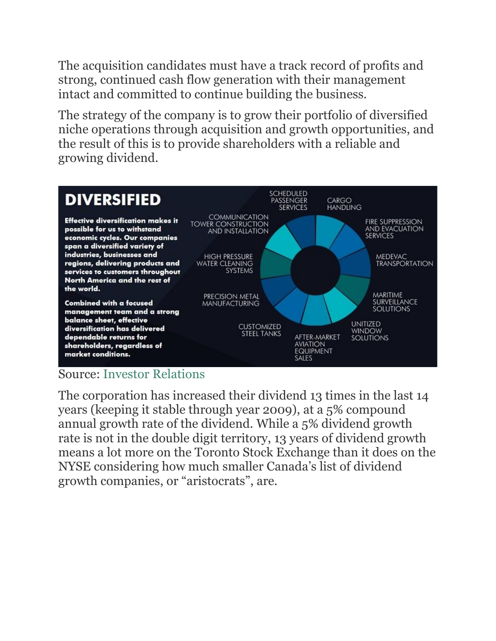The acquisition candidates must have a track record of profits and strong, continued cash flow generation with their management intact and committed to continue building the business.

The strategy of the company is to grow their portfolio of diversified niche operations through acquisition and growth opportunities, and the result of this is to provide shareholders with a reliable and growing dividend.



#### Source: Investor [Relations](https://www.exchangeincomecorp.ca/)

The corporation has increased their dividend 13 times in the last 14 years (keeping it stable through year 2009), at a 5% compound annual growth rate of the dividend. While a 5% dividend growth rate is not in the double digit territory, 13 years of dividend growth means a lot more on the Toronto Stock Exchange than it does on the NYSE considering how much smaller Canada's list of dividend growth companies, or "aristocrats", are.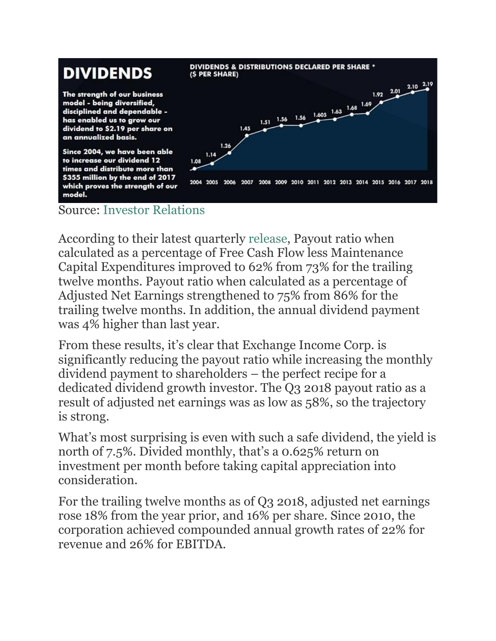### **DIVIDENDS**

The strength of our business model - being diversified, disciplined and dependable has enabled us to grow our dividend to \$2.19 per share on an annualized basis.

Since 2004, we have been able to increase our dividend 12 times and distribute more than \$355 million by the end of 2017 which proves the strength of our model.



#### Source: Investor [Relations](https://www.exchangeincomecorp.ca/)

According to their latest quarterly [release,](https://www.exchangeincomecorp.ca/wcm-docs/resources/EIF_Press_Release_-_Q3_2018_Results_v5_FINAL_20181108185623.pdf) Payout ratio when calculated as a percentage of Free Cash Flow less Maintenance Capital Expenditures improved to 62% from 73% for the trailing twelve months. Payout ratio when calculated as a percentage of Adjusted Net Earnings strengthened to 75% from 86% for the trailing twelve months. In addition, the annual dividend payment was 4% higher than last year.

From these results, it's clear that Exchange Income Corp. is significantly reducing the payout ratio while increasing the monthly dividend payment to shareholders – the perfect recipe for a dedicated dividend growth investor. The Q3 2018 payout ratio as a result of adjusted net earnings was as low as 58%, so the trajectory is strong.

What's most surprising is even with such a safe dividend, the yield is north of 7.5%. Divided monthly, that's a 0.625% return on investment per month before taking capital appreciation into consideration.

For the trailing twelve months as of Q3 2018, adjusted net earnings rose 18% from the year prior, and 16% per share. Since 2010, the corporation achieved compounded annual growth rates of 22% for revenue and 26% for EBITDA.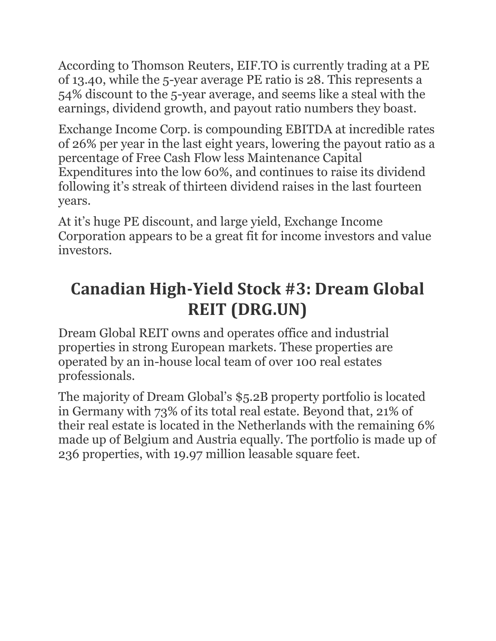According to Thomson Reuters, EIF.TO is currently trading at a PE of 13.40, while the 5-year average PE ratio is 28. This represents a 54% discount to the 5-year average, and seems like a steal with the earnings, dividend growth, and payout ratio numbers they boast.

Exchange Income Corp. is compounding EBITDA at incredible rates of 26% per year in the last eight years, lowering the payout ratio as a percentage of Free Cash Flow less Maintenance Capital Expenditures into the low 60%, and continues to raise its dividend following it's streak of thirteen dividend raises in the last fourteen years.

At it's huge PE discount, and large yield, Exchange Income Corporation appears to be a great fit for income investors and value investors.

## **Canadian High-Yield Stock #3: Dream Global REIT (DRG.UN)**

Dream Global REIT owns and operates office and industrial properties in strong European markets. These properties are operated by an in-house local team of over 100 real estates professionals.

The majority of Dream Global's \$5.2B property portfolio is located in Germany with 73% of its total real estate. Beyond that, 21% of their real estate is located in the Netherlands with the remaining 6% made up of Belgium and Austria equally. The portfolio is made up of 236 properties, with 19.97 million leasable square feet.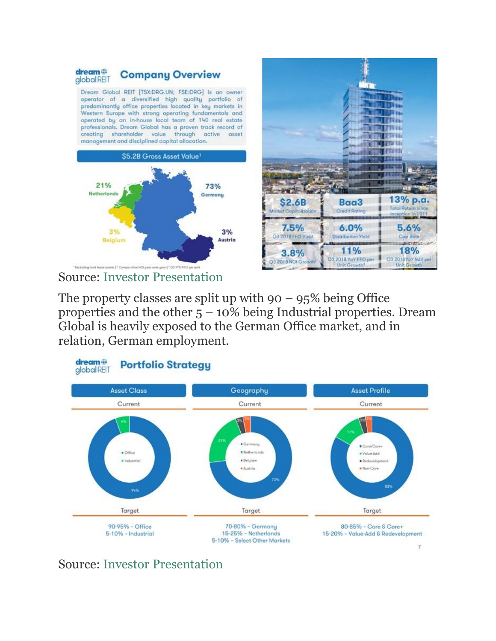



The property classes are split up with  $90 - 95\%$  being Office properties and the other  $5 - 10\%$  being Industrial properties. Dream Global is heavily exposed to the German Office market, and in relation, German employment.



Source: Investor [Presentation](http://www.dream.ca/global/wp-content/uploads/sites/5/2018/11/DRG-Investor-Presentation-November-2018-CAD-Final.pdf)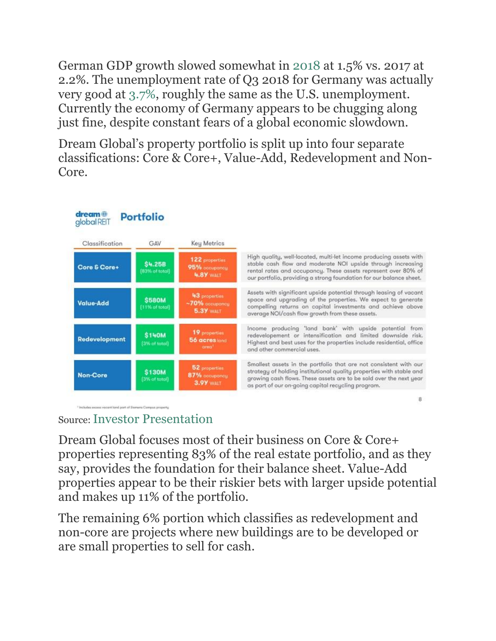German GDP growth slowed somewhat in [2018](https://www.cnbc.com/2019/01/15/germany-2018-gdp-data.html) at 1.5% vs. 2017 at 2.2%. The unemployment rate of Q3 2018 for Germany was actually very good at [3.7%,](https://data.oecd.org/germany.htm) roughly the same as the U.S. unemployment. Currently the economy of Germany appears to be chugging along just fine, despite constant fears of a global economic slowdown.

Dream Global's property portfolio is split up into four separate classifications: Core & Core+, Value-Add, Redevelopment and Non-Core.



#### Source:Investor [Presentation](http://www.dream.ca/global/wp-content/uploads/sites/5/2018/11/DRG-Investor-Presentation-November-2018-CAD-Final.pdf)

Dream Global focuses most of their business on Core & Core+ properties representing 83% of the real estate portfolio, and as they say, provides the foundation for their balance sheet. Value-Add properties appear to be their riskier bets with larger upside potential and makes up 11% of the portfolio.

The remaining 6% portion which classifies as redevelopment and non-core are projects where new buildings are to be developed or are small properties to sell for cash.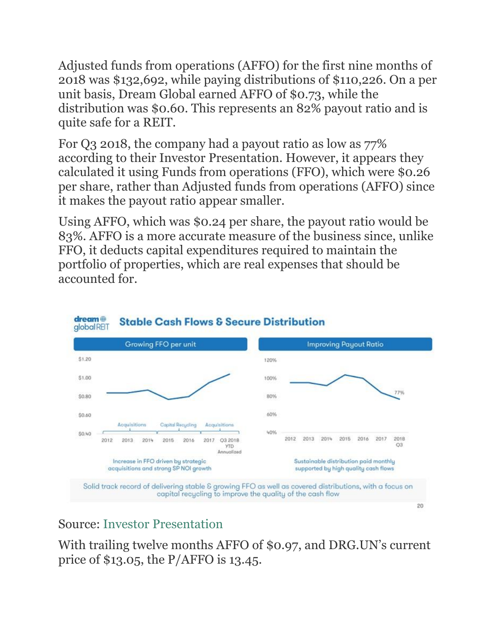Adjusted funds from operations (AFFO) for the first nine months of 2018 was \$132,692, while paying distributions of \$110,226. On a per unit basis, Dream Global earned AFFO of \$0.73, while the distribution was \$0.60. This represents an 82% payout ratio and is quite safe for a REIT.

For Q3 2018, the company had a payout ratio as low as 77% according to their Investor Presentation. However, it appears they calculated it using Funds from operations (FFO), which were \$0.26 per share, rather than Adjusted funds from operations (AFFO) since it makes the payout ratio appear smaller.

Using AFFO, which was \$0.24 per share, the payout ratio would be 83%. AFFO is a more accurate measure of the business since, unlike FFO, it deducts capital expenditures required to maintain the portfolio of properties, which are real expenses that should be accounted for.



**Stable Cash Flows & Secure Distribution** 

Source: Investor [Presentation](http://www.dream.ca/global/wp-content/uploads/sites/5/2018/11/DRG-Investor-Presentation-November-2018-CAD-Final.pdf)

With trailing twelve months AFFO of \$0.97, and DRG.UN's current price of \$13.05, the P/AFFO is 13.45.